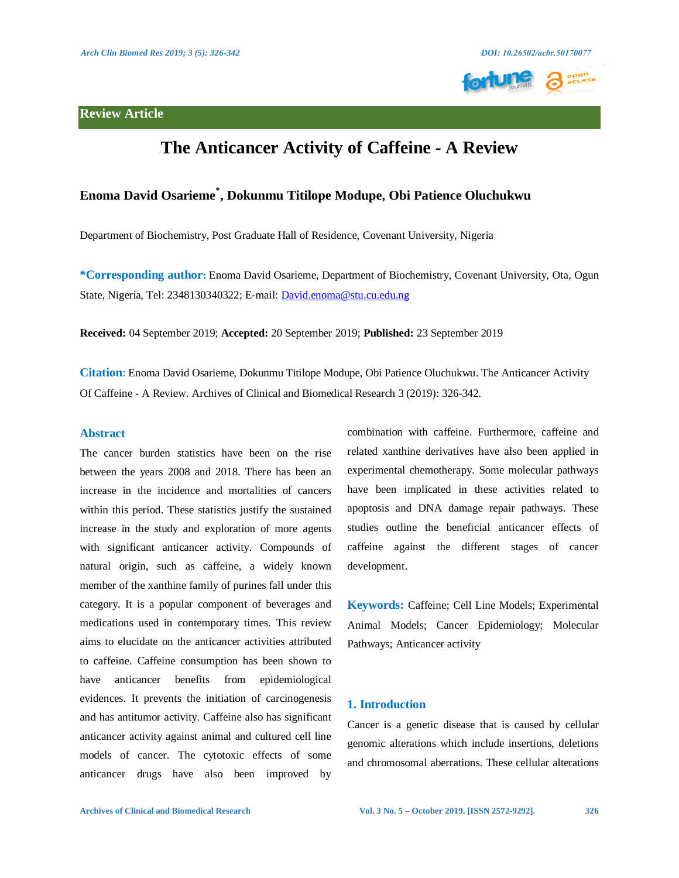

# **The Anticancer Activity of Caffeine - A Review**

## **Enoma David Osarieme\* , Dokunmu Titilope Modupe, Obi Patience Oluchukwu**

Department of Biochemistry, Post Graduate Hall of Residence, Covenant University, Nigeria

**\*Corresponding author:** Enoma David Osarieme, Department of Biochemistry, Covenant University, Ota, Ogun State, Nigeria, Tel: 2348130340322; E-mail: [David.enoma@stu.cu.edu.ng](mailto:David.enoma@stu.cu.edu.ng) 

**Received:** 04 September 2019; **Accepted:** 20 September 2019; **Published:** 23 September 2019

**Citation**: Enoma David Osarieme, Dokunmu Titilope Modupe, Obi Patience Oluchukwu. The Anticancer Activity Of Caffeine - A Review. Archives of Clinical and Biomedical Research 3 (2019): 326-342.

## **Abstract**

The cancer burden statistics have been on the rise between the years 2008 and 2018. There has been an increase in the incidence and mortalities of cancers within this period. These statistics justify the sustained increase in the study and exploration of more agents with significant anticancer activity. Compounds of natural origin, such as caffeine, a widely known member of the xanthine family of purines fall under this category. It is a popular component of beverages and medications used in contemporary times. This review aims to elucidate on the anticancer activities attributed to caffeine. Caffeine consumption has been shown to have anticancer benefits from epidemiological evidences. It prevents the initiation of carcinogenesis and has antitumor activity. Caffeine also has significant anticancer activity against animal and cultured cell line models of cancer. The cytotoxic effects of some anticancer drugs have also been improved by combination with caffeine. Furthermore, caffeine and related xanthine derivatives have also been applied in experimental chemotherapy. Some molecular pathways have been implicated in these activities related to apoptosis and DNA damage repair pathways. These studies outline the beneficial anticancer effects of caffeine against the different stages of cancer development.

**Keywords:** Caffeine; Cell Line Models; Experimental Animal Models; Cancer Epidemiology; Molecular Pathways; Anticancer activity

## **1. Introduction**

Cancer is a genetic disease that is caused by cellular genomic alterations which include insertions, deletions and chromosomal aberrations. These cellular alterations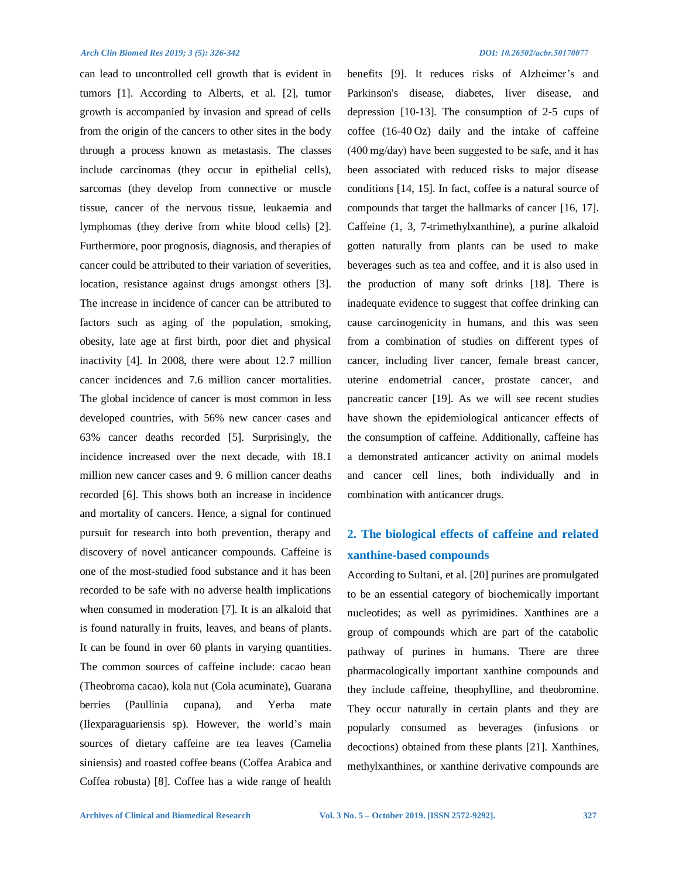can lead to uncontrolled cell growth that is evident in tumors [1]. According to Alberts, et al. [2], tumor growth is accompanied by invasion and spread of cells from the origin of the cancers to other sites in the body through a process known as metastasis. The classes include carcinomas (they occur in epithelial cells), sarcomas (they develop from connective or muscle tissue, cancer of the nervous tissue, leukaemia and lymphomas (they derive from white blood cells) [2]. Furthermore, poor prognosis, diagnosis, and therapies of cancer could be attributed to their variation of severities, location, resistance against drugs amongst others [3]. The increase in incidence of cancer can be attributed to factors such as aging of the population, smoking, obesity, late age at first birth, poor diet and physical inactivity [4]. In 2008, there were about 12.7 million cancer incidences and 7.6 million cancer mortalities. The global incidence of cancer is most common in less developed countries, with 56% new cancer cases and 63% cancer deaths recorded [5]. Surprisingly, the incidence increased over the next decade, with 18.1 million new cancer cases and 9. 6 million cancer deaths recorded [6]. This shows both an increase in incidence and mortality of cancers. Hence, a signal for continued pursuit for research into both prevention, therapy and discovery of novel anticancer compounds. Caffeine is one of the most-studied food substance and it has been recorded to be safe with no adverse health implications when consumed in moderation [7]. It is an alkaloid that is found naturally in fruits, leaves, and beans of plants. It can be found in over 60 plants in varying quantities. The common sources of caffeine include: cacao bean (Theobroma cacao), kola nut (Cola acuminate), Guarana berries (Paullinia cupana), and Yerba mate (Ilexparaguariensis sp). However, the world's main sources of dietary caffeine are tea leaves (Camelia siniensis) and roasted coffee beans (Coffea Arabica and Coffea robusta) [8]. Coffee has a wide range of health

benefits [9]. It reduces risks of Alzheimer's and Parkinson's disease, diabetes, liver disease, and depression [10-13]. The consumption of 2-5 cups of coffee (16-40 Oz) daily and the intake of caffeine (400 mg/day) have been suggested to be safe, and it has been associated with reduced risks to major disease conditions [14, 15]. In fact, coffee is a natural source of compounds that target the hallmarks of cancer [16, 17]. Caffeine (1, 3, 7-trimethylxanthine), a purine alkaloid gotten naturally from plants can be used to make beverages such as tea and coffee, and it is also used in the production of many soft drinks [18]. There is inadequate evidence to suggest that coffee drinking can cause carcinogenicity in humans, and this was seen from a combination of studies on different types of cancer, including liver cancer, female breast cancer, uterine endometrial cancer, prostate cancer, and pancreatic cancer [19]. As we will see recent studies have shown the epidemiological anticancer effects of the consumption of caffeine. Additionally, caffeine has a demonstrated anticancer activity on animal models and cancer cell lines, both individually and in combination with anticancer drugs.

# **2. The biological effects of caffeine and related xanthine-based compounds**

According to Sultani, et al. [20] purines are promulgated to be an essential category of biochemically important nucleotides; as well as pyrimidines. Xanthines are a group of compounds which are part of the catabolic pathway of purines in humans. There are three pharmacologically important xanthine compounds and they include caffeine, theophylline, and theobromine. They occur naturally in certain plants and they are popularly consumed as beverages (infusions or decoctions) obtained from these plants [21]. Xanthines, methylxanthines, or xanthine derivative compounds are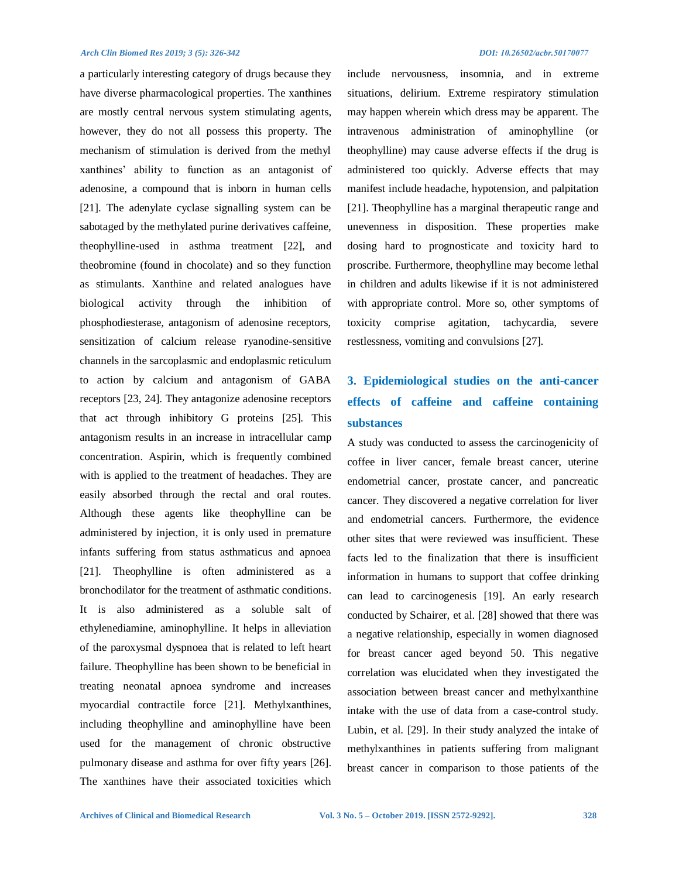a particularly interesting category of drugs because they have diverse pharmacological properties. The xanthines are mostly central nervous system stimulating agents, however, they do not all possess this property. The mechanism of stimulation is derived from the methyl xanthines' ability to function as an antagonist of adenosine, a compound that is inborn in human cells [21]. The adenylate cyclase signalling system can be sabotaged by the methylated purine derivatives caffeine, theophylline-used in asthma treatment [22], and theobromine (found in chocolate) and so they function as stimulants. Xanthine and related analogues have biological activity through the inhibition of phosphodiesterase, antagonism of adenosine receptors, sensitization of calcium release ryanodine-sensitive channels in the sarcoplasmic and endoplasmic reticulum to action by calcium and antagonism of GABA receptors [23, 24]. They antagonize adenosine receptors that act through inhibitory G proteins [25]. This antagonism results in an increase in intracellular camp concentration. Aspirin, which is frequently combined with is applied to the treatment of headaches. They are easily absorbed through the rectal and oral routes. Although these agents like theophylline can be administered by injection, it is only used in premature infants suffering from status asthmaticus and apnoea [21]. Theophylline is often administered as a bronchodilator for the treatment of asthmatic conditions. It is also administered as a soluble salt of ethylenediamine, aminophylline. It helps in alleviation of the paroxysmal dyspnoea that is related to left heart failure. Theophylline has been shown to be beneficial in treating neonatal apnoea syndrome and increases myocardial contractile force [21]. Methylxanthines, including theophylline and aminophylline have been used for the management of chronic obstructive pulmonary disease and asthma for over fifty years [26]. The xanthines have their associated toxicities which

include nervousness, insomnia, and in extreme situations, delirium. Extreme respiratory stimulation may happen wherein which dress may be apparent. The intravenous administration of aminophylline (or theophylline) may cause adverse effects if the drug is administered too quickly. Adverse effects that may manifest include headache, hypotension, and palpitation [21]. Theophylline has a marginal therapeutic range and unevenness in disposition. These properties make dosing hard to prognosticate and toxicity hard to proscribe. Furthermore, theophylline may become lethal in children and adults likewise if it is not administered with appropriate control. More so, other symptoms of toxicity comprise agitation, tachycardia, severe restlessness, vomiting and convulsions [27].

# **3. Epidemiological studies on the anti-cancer effects of caffeine and caffeine containing substances**

A study was conducted to assess the carcinogenicity of coffee in liver cancer, female breast cancer, uterine endometrial cancer, prostate cancer, and pancreatic cancer. They discovered a negative correlation for liver and endometrial cancers. Furthermore, the evidence other sites that were reviewed was insufficient. These facts led to the finalization that there is insufficient information in humans to support that coffee drinking can lead to carcinogenesis [19]. An early research conducted by Schairer, et al. [28] showed that there was a negative relationship, especially in women diagnosed for breast cancer aged beyond 50. This negative correlation was elucidated when they investigated the association between breast cancer and methylxanthine intake with the use of data from a case-control study. Lubin, et al. [29]. In their study analyzed the intake of methylxanthines in patients suffering from malignant breast cancer in comparison to those patients of the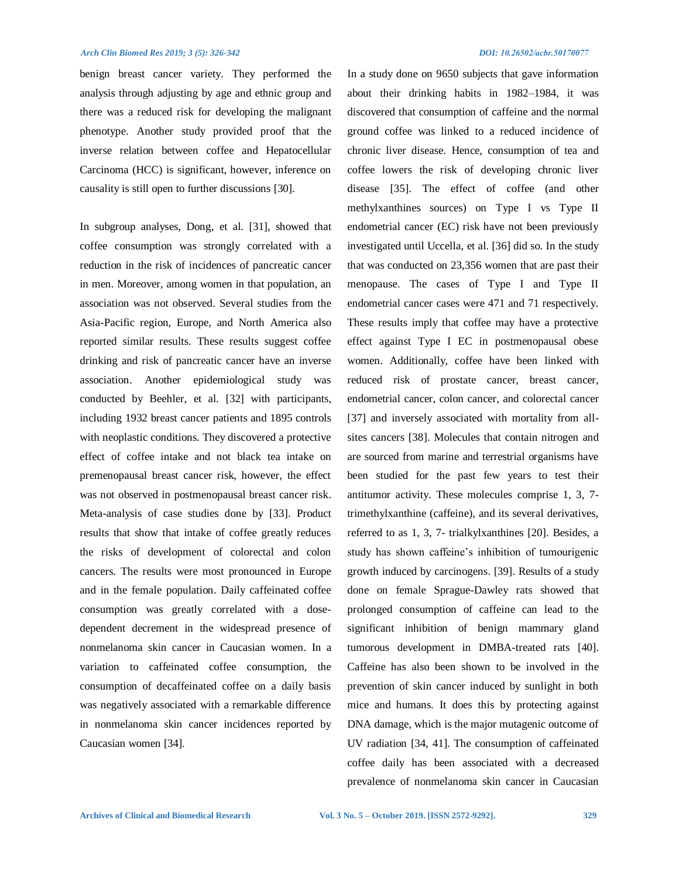benign breast cancer variety. They performed the analysis through adjusting by age and ethnic group and there was a reduced risk for developing the malignant phenotype. Another study provided proof that the inverse relation between coffee and Hepatocellular Carcinoma (HCC) is significant, however, inference on causality is still open to further discussions [30].

In subgroup analyses, Dong, et al. [31], showed that coffee consumption was strongly correlated with a reduction in the risk of incidences of pancreatic cancer in men. Moreover, among women in that population, an association was not observed. Several studies from the Asia-Pacific region, Europe, and North America also reported similar results. These results suggest coffee drinking and risk of pancreatic cancer have an inverse association. Another epidemiological study was conducted by Beehler, et al. [32] with participants, including 1932 breast cancer patients and 1895 controls with neoplastic conditions. They discovered a protective effect of coffee intake and not black tea intake on premenopausal breast cancer risk, however, the effect was not observed in postmenopausal breast cancer risk. Meta-analysis of case studies done by [33]. Product results that show that intake of coffee greatly reduces the risks of development of colorectal and colon cancers. The results were most pronounced in Europe and in the female population. Daily caffeinated coffee consumption was greatly correlated with a dosedependent decrement in the widespread presence of nonmelanoma skin cancer in Caucasian women. In a variation to caffeinated coffee consumption, the consumption of decaffeinated coffee on a daily basis was negatively associated with a remarkable difference in nonmelanoma skin cancer incidences reported by Caucasian women [34].

In a study done on 9650 subjects that gave information about their drinking habits in 1982–1984, it was discovered that consumption of caffeine and the normal ground coffee was linked to a reduced incidence of chronic liver disease. Hence, consumption of tea and coffee lowers the risk of developing chronic liver disease [35]. The effect of coffee (and other methylxanthines sources) on Type I vs Type II endometrial cancer (EC) risk have not been previously investigated until Uccella, et al. [36] did so. In the study that was conducted on 23,356 women that are past their menopause. The cases of Type I and Type II endometrial cancer cases were 471 and 71 respectively. These results imply that coffee may have a protective effect against Type I EC in postmenopausal obese women. Additionally, coffee have been linked with reduced risk of prostate cancer, breast cancer, endometrial cancer, colon cancer, and colorectal cancer [37] and inversely associated with mortality from allsites cancers [38]. Molecules that contain nitrogen and are sourced from marine and terrestrial organisms have been studied for the past few years to test their antitumor activity. These molecules comprise 1, 3, 7 trimethylxanthine (caffeine), and its several derivatives, referred to as 1, 3, 7- trialkylxanthines [20]. Besides, a study has shown caffeine's inhibition of tumourigenic growth induced by carcinogens. [39]. Results of a study done on female Sprague-Dawley rats showed that prolonged consumption of caffeine can lead to the significant inhibition of benign mammary gland tumorous development in DMBA-treated rats [40]. Caffeine has also been shown to be involved in the prevention of skin cancer induced by sunlight in both mice and humans. It does this by protecting against DNA damage, which is the major mutagenic outcome of UV radiation [34, 41]. The consumption of caffeinated coffee daily has been associated with a decreased prevalence of nonmelanoma skin cancer in Caucasian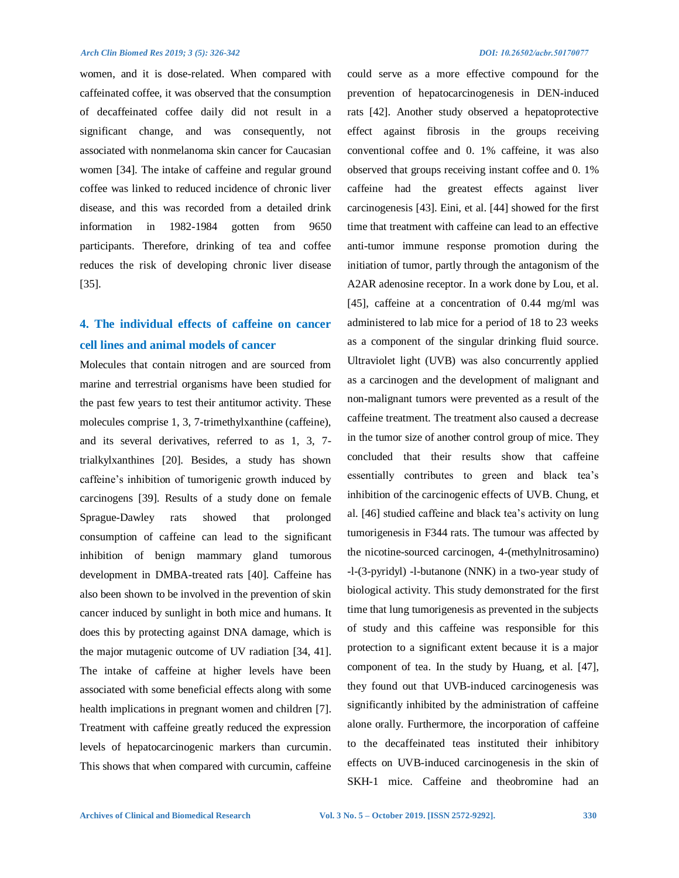women, and it is dose-related. When compared with caffeinated coffee, it was observed that the consumption of decaffeinated coffee daily did not result in a significant change, and was consequently, not associated with nonmelanoma skin cancer for Caucasian women [34]. The intake of caffeine and regular ground coffee was linked to reduced incidence of chronic liver disease, and this was recorded from a detailed drink information in 1982-1984 gotten from 9650 participants. Therefore, drinking of tea and coffee reduces the risk of developing chronic liver disease [35].

# **4. The individual effects of caffeine on cancer cell lines and animal models of cancer**

Molecules that contain nitrogen and are sourced from marine and terrestrial organisms have been studied for the past few years to test their antitumor activity. These molecules comprise 1, 3, 7-trimethylxanthine (caffeine), and its several derivatives, referred to as 1, 3, 7 trialkylxanthines [20]. Besides, a study has shown caffeine's inhibition of tumorigenic growth induced by carcinogens [39]. Results of a study done on female Sprague-Dawley rats showed that prolonged consumption of caffeine can lead to the significant inhibition of benign mammary gland tumorous development in DMBA-treated rats [40]. Caffeine has also been shown to be involved in the prevention of skin cancer induced by sunlight in both mice and humans. It does this by protecting against DNA damage, which is the major mutagenic outcome of UV radiation [34, 41]. The intake of caffeine at higher levels have been associated with some beneficial effects along with some health implications in pregnant women and children [7]. Treatment with caffeine greatly reduced the expression levels of hepatocarcinogenic markers than curcumin. This shows that when compared with curcumin, caffeine could serve as a more effective compound for the prevention of hepatocarcinogenesis in DEN-induced rats [42]. Another study observed a hepatoprotective effect against fibrosis in the groups receiving conventional coffee and 0. 1% caffeine, it was also observed that groups receiving instant coffee and 0. 1% caffeine had the greatest effects against liver carcinogenesis [43]. Eini, et al. [44] showed for the first time that treatment with caffeine can lead to an effective anti-tumor immune response promotion during the initiation of tumor, partly through the antagonism of the A2AR adenosine receptor. In a work done by Lou, et al. [45], caffeine at a concentration of 0.44 mg/ml was administered to lab mice for a period of 18 to 23 weeks as a component of the singular drinking fluid source. Ultraviolet light (UVB) was also concurrently applied as a carcinogen and the development of malignant and non-malignant tumors were prevented as a result of the caffeine treatment. The treatment also caused a decrease in the tumor size of another control group of mice. They concluded that their results show that caffeine essentially contributes to green and black tea's inhibition of the carcinogenic effects of UVB. Chung, et al. [46] studied caffeine and black tea's activity on lung tumorigenesis in F344 rats. The tumour was affected by the nicotine-sourced carcinogen, 4-(methylnitrosamino) -l-(3-pyridyl) -l-butanone (NNK) in a two-year study of biological activity. This study demonstrated for the first time that lung tumorigenesis as prevented in the subjects of study and this caffeine was responsible for this protection to a significant extent because it is a major component of tea. In the study by Huang, et al. [47], they found out that UVB-induced carcinogenesis was significantly inhibited by the administration of caffeine alone orally. Furthermore, the incorporation of caffeine to the decaffeinated teas instituted their inhibitory effects on UVB-induced carcinogenesis in the skin of SKH-1 mice. Caffeine and theobromine had an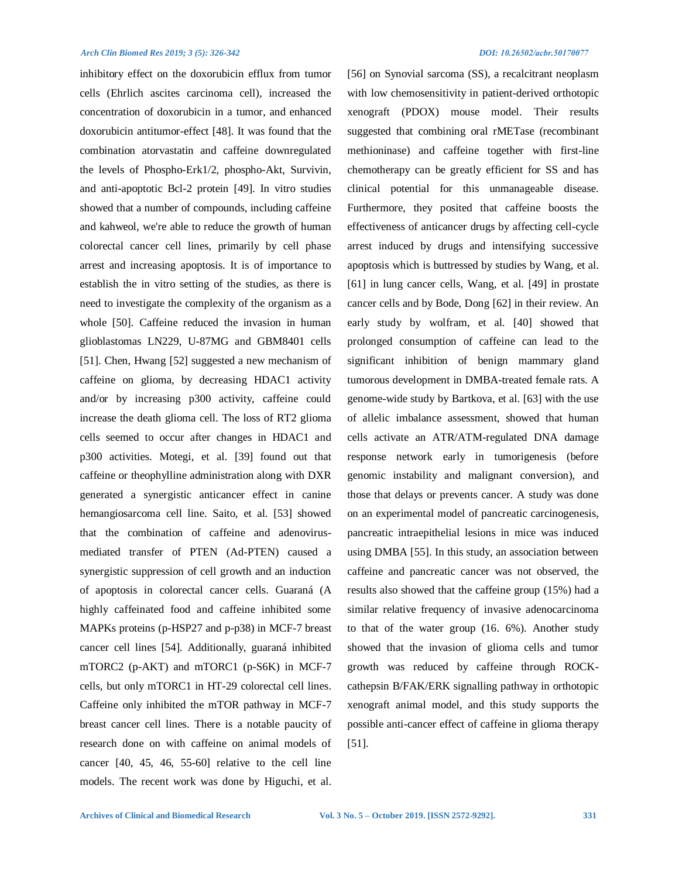inhibitory effect on the doxorubicin efflux from tumor cells (Ehrlich ascites carcinoma cell), increased the concentration of doxorubicin in a tumor, and enhanced doxorubicin antitumor-effect [48]. It was found that the combination atorvastatin and caffeine downregulated the levels of Phospho-Erk1/2, phospho-Akt, Survivin, and anti-apoptotic Bcl-2 protein [49]. In vitro studies showed that a number of compounds, including caffeine and kahweol, we're able to reduce the growth of human colorectal cancer cell lines, primarily by cell phase arrest and increasing apoptosis. It is of importance to establish the in vitro setting of the studies, as there is need to investigate the complexity of the organism as a whole [50]. Caffeine reduced the invasion in human glioblastomas LN229, U-87MG and GBM8401 cells [51]. Chen, Hwang [52] suggested a new mechanism of caffeine on glioma, by decreasing HDAC1 activity and/or by increasing p300 activity, caffeine could increase the death glioma cell. The loss of RT2 glioma cells seemed to occur after changes in HDAC1 and p300 activities. Motegi, et al. [39] found out that caffeine or theophylline administration along with DXR generated a synergistic anticancer effect in canine hemangiosarcoma cell line. Saito, et al. [53] showed that the combination of caffeine and adenovirusmediated transfer of PTEN (Ad-PTEN) caused a synergistic suppression of cell growth and an induction of apoptosis in colorectal cancer cells. Guaraná (A highly caffeinated food and caffeine inhibited some MAPKs proteins (p-HSP27 and p-p38) in MCF-7 breast cancer cell lines [54]. Additionally, guaraná inhibited mTORC2 (p-AKT) and mTORC1 (p-S6K) in MCF-7 cells, but only mTORC1 in HT-29 colorectal cell lines. Caffeine only inhibited the mTOR pathway in MCF-7 breast cancer cell lines. There is a notable paucity of research done on with caffeine on animal models of cancer [40, 45, 46, 55-60] relative to the cell line models. The recent work was done by Higuchi, et al. [56] on Synovial sarcoma (SS), a recalcitrant neoplasm with low chemosensitivity in patient-derived orthotopic xenograft (PDOX) mouse model. Their results suggested that combining oral rMETase (recombinant methioninase) and caffeine together with first-line chemotherapy can be greatly efficient for SS and has clinical potential for this unmanageable disease. Furthermore, they posited that caffeine boosts the effectiveness of anticancer drugs by affecting cell-cycle arrest induced by drugs and intensifying successive apoptosis which is buttressed by studies by Wang, et al. [61] in lung cancer cells, Wang, et al. [49] in prostate cancer cells and by Bode, Dong [62] in their review. An early study by wolfram, et al. [40] showed that prolonged consumption of caffeine can lead to the significant inhibition of benign mammary gland tumorous development in DMBA-treated female rats. A genome-wide study by Bartkova, et al. [63] with the use of allelic imbalance assessment, showed that human cells activate an ATR/ATM-regulated DNA damage response network early in tumorigenesis (before genomic instability and malignant conversion), and those that delays or prevents cancer. A study was done on an experimental model of pancreatic carcinogenesis, pancreatic intraepithelial lesions in mice was induced using DMBA [55]. In this study, an association between caffeine and pancreatic cancer was not observed, the results also showed that the caffeine group (15%) had a similar relative frequency of invasive adenocarcinoma to that of the water group (16. 6%). Another study showed that the invasion of glioma cells and tumor growth was reduced by caffeine through ROCKcathepsin B/FAK/ERK signalling pathway in orthotopic xenograft animal model, and this study supports the possible anti-cancer effect of caffeine in glioma therapy [51].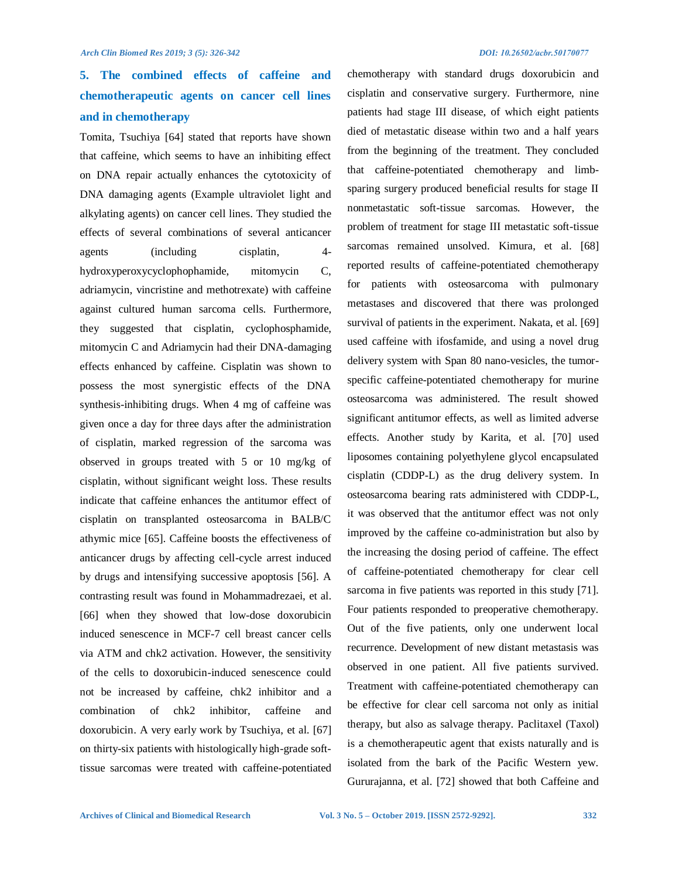# **5. The combined effects of caffeine and chemotherapeutic agents on cancer cell lines and in chemotherapy**

Tomita, Tsuchiya [64] stated that reports have shown that caffeine, which seems to have an inhibiting effect on DNA repair actually enhances the cytotoxicity of DNA damaging agents (Example ultraviolet light and alkylating agents) on cancer cell lines. They studied the effects of several combinations of several anticancer agents (including cisplatin, 4 hydroxyperoxycyclophophamide, mitomycin C, adriamycin, vincristine and methotrexate) with caffeine against cultured human sarcoma cells. Furthermore, they suggested that cisplatin, cyclophosphamide, mitomycin C and Adriamycin had their DNA-damaging effects enhanced by caffeine. Cisplatin was shown to possess the most synergistic effects of the DNA synthesis-inhibiting drugs. When 4 mg of caffeine was given once a day for three days after the administration of cisplatin, marked regression of the sarcoma was observed in groups treated with 5 or 10 mg/kg of cisplatin, without significant weight loss. These results indicate that caffeine enhances the antitumor effect of cisplatin on transplanted osteosarcoma in BALB/C athymic mice [65]. Caffeine boosts the effectiveness of anticancer drugs by affecting cell-cycle arrest induced by drugs and intensifying successive apoptosis [56]. A contrasting result was found in Mohammadrezaei, et al. [66] when they showed that low-dose doxorubicin induced senescence in MCF-7 cell breast cancer cells via ATM and chk2 activation. However, the sensitivity of the cells to doxorubicin-induced senescence could not be increased by caffeine, chk2 inhibitor and a combination of chk2 inhibitor, caffeine and doxorubicin. A very early work by Tsuchiya, et al. [67] on thirty-six patients with histologically high-grade softtissue sarcomas were treated with caffeine-potentiated chemotherapy with standard drugs doxorubicin and cisplatin and conservative surgery. Furthermore, nine patients had stage III disease, of which eight patients died of metastatic disease within two and a half years from the beginning of the treatment. They concluded that caffeine-potentiated chemotherapy and limbsparing surgery produced beneficial results for stage II nonmetastatic soft-tissue sarcomas. However, the problem of treatment for stage III metastatic soft-tissue sarcomas remained unsolved. Kimura, et al. [68] reported results of caffeine-potentiated chemotherapy for patients with osteosarcoma with pulmonary metastases and discovered that there was prolonged survival of patients in the experiment. Nakata, et al. [69] used caffeine with ifosfamide, and using a novel drug delivery system with Span 80 nano-vesicles, the tumorspecific caffeine-potentiated chemotherapy for murine osteosarcoma was administered. The result showed significant antitumor effects, as well as limited adverse effects. Another study by Karita, et al. [70] used liposomes containing polyethylene glycol encapsulated cisplatin (CDDP-L) as the drug delivery system. In osteosarcoma bearing rats administered with CDDP-L, it was observed that the antitumor effect was not only improved by the caffeine co-administration but also by the increasing the dosing period of caffeine. The effect of caffeine-potentiated chemotherapy for clear cell sarcoma in five patients was reported in this study [71]. Four patients responded to preoperative chemotherapy. Out of the five patients, only one underwent local recurrence. Development of new distant metastasis was observed in one patient. All five patients survived. Treatment with caffeine-potentiated chemotherapy can be effective for clear cell sarcoma not only as initial therapy, but also as salvage therapy. Paclitaxel (Taxol) is a chemotherapeutic agent that exists naturally and is isolated from the bark of the Pacific Western yew. Gururajanna, et al. [72] showed that both Caffeine and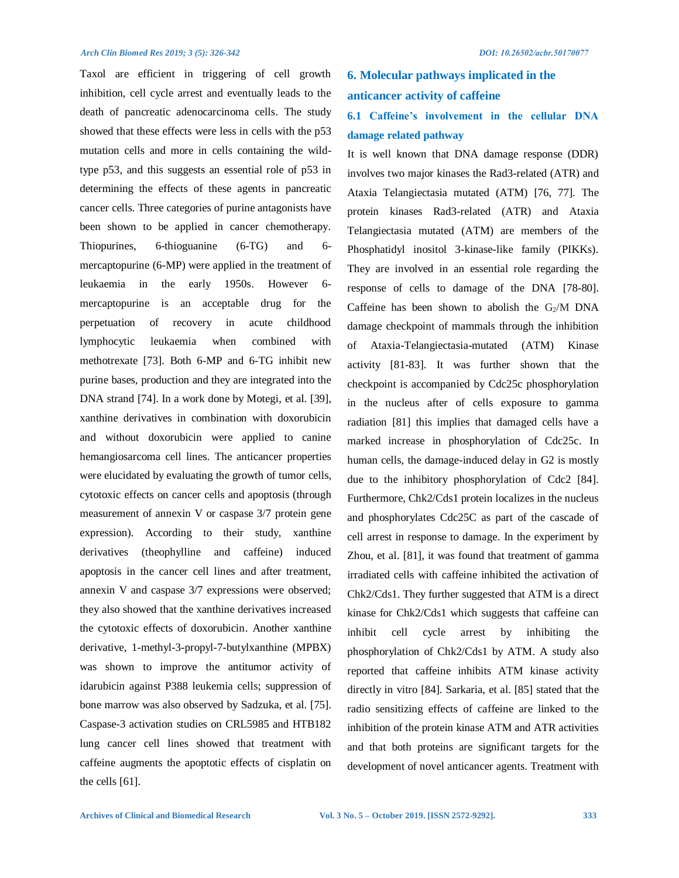Taxol are efficient in triggering of cell growth inhibition, cell cycle arrest and eventually leads to the death of pancreatic adenocarcinoma cells. The study showed that these effects were less in cells with the p53 mutation cells and more in cells containing the wildtype p53, and this suggests an essential role of p53 in determining the effects of these agents in pancreatic cancer cells. Three categories of purine antagonists have been shown to be applied in cancer chemotherapy. Thiopurines, 6-thioguanine (6-TG) and 6 mercaptopurine (6-MP) were applied in the treatment of leukaemia in the early 1950s. However 6 mercaptopurine is an acceptable drug for the perpetuation of recovery in acute childhood lymphocytic leukaemia when combined with methotrexate [73]. Both 6-MP and 6-TG inhibit new purine bases, production and they are integrated into the DNA strand [74]. In a work done by Motegi, et al. [39], xanthine derivatives in combination with doxorubicin and without doxorubicin were applied to canine hemangiosarcoma cell lines. The anticancer properties were elucidated by evaluating the growth of tumor cells, cytotoxic effects on cancer cells and apoptosis (through measurement of annexin V or caspase 3/7 protein gene expression). According to their study, xanthine derivatives (theophylline and caffeine) induced apoptosis in the cancer cell lines and after treatment, annexin V and caspase 3/7 expressions were observed; they also showed that the xanthine derivatives increased the cytotoxic effects of doxorubicin. Another xanthine derivative, 1-methyl-3-propyl-7-butylxanthine (MPBX) was shown to improve the antitumor activity of idarubicin against P388 leukemia cells; suppression of bone marrow was also observed by Sadzuka, et al. [75]. Caspase-3 activation studies on CRL5985 and HTB182 lung cancer cell lines showed that treatment with caffeine augments the apoptotic effects of cisplatin on the cells [61].

# **6. Molecular pathways implicated in the anticancer activity of caffeine**

## **6.1 Caffeine's involvement in the cellular DNA damage related pathway**

It is well known that DNA damage response (DDR) involves two major kinases the Rad3-related (ATR) and Ataxia Telangiectasia mutated (ATM) [76, 77]. The protein kinases Rad3-related (ATR) and Ataxia Telangiectasia mutated (ATM) are members of the Phosphatidyl inositol 3-kinase-like family (PIKKs). They are involved in an essential role regarding the response of cells to damage of the DNA [78-80]. Caffeine has been shown to abolish the  $G<sub>2</sub>/M$  DNA damage checkpoint of mammals through the inhibition of Ataxia-Telangiectasia-mutated (ATM) Kinase activity [81-83]. It was further shown that the checkpoint is accompanied by Cdc25c phosphorylation in the nucleus after of cells exposure to gamma radiation [81] this implies that damaged cells have a marked increase in phosphorylation of Cdc25c. In human cells, the damage-induced delay in G2 is mostly due to the inhibitory phosphorylation of Cdc2 [84]. Furthermore, Chk2/Cds1 protein localizes in the nucleus and phosphorylates Cdc25C as part of the cascade of cell arrest in response to damage. In the experiment by Zhou, et al. [81], it was found that treatment of gamma irradiated cells with caffeine inhibited the activation of Chk2/Cds1. They further suggested that ATM is a direct kinase for Chk2/Cds1 which suggests that caffeine can inhibit cell cycle arrest by inhibiting the phosphorylation of Chk2/Cds1 by ATM. A study also reported that caffeine inhibits ATM kinase activity directly in vitro [84]. Sarkaria, et al. [85] stated that the radio sensitizing effects of caffeine are linked to the inhibition of the protein kinase ATM and ATR activities and that both proteins are significant targets for the development of novel anticancer agents. Treatment with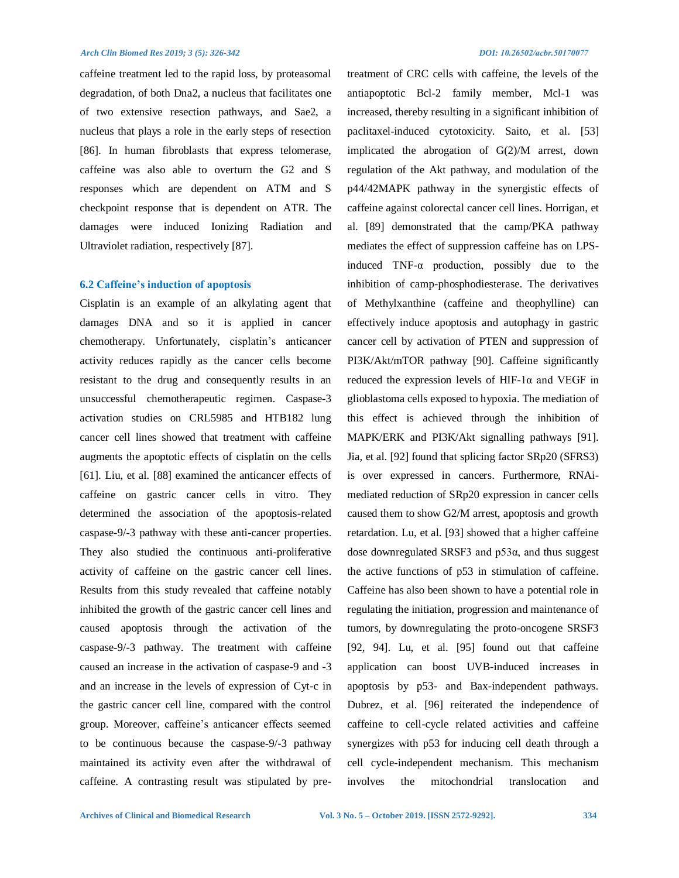caffeine treatment led to the rapid loss, by proteasomal degradation, of both Dna2, a nucleus that facilitates one of two extensive resection pathways, and Sae2, a nucleus that plays a role in the early steps of resection [86]. In human fibroblasts that express telomerase, caffeine was also able to overturn the G2 and S responses which are dependent on ATM and S checkpoint response that is dependent on ATR. The damages were induced Ionizing Radiation and Ultraviolet radiation, respectively [87].

#### **6.2 Caffeine's induction of apoptosis**

Cisplatin is an example of an alkylating agent that damages DNA and so it is applied in cancer chemotherapy. Unfortunately, cisplatin's anticancer activity reduces rapidly as the cancer cells become resistant to the drug and consequently results in an unsuccessful chemotherapeutic regimen. Caspase-3 activation studies on CRL5985 and HTB182 lung cancer cell lines showed that treatment with caffeine augments the apoptotic effects of cisplatin on the cells [61]. Liu, et al. [88] examined the anticancer effects of caffeine on gastric cancer cells in vitro. They determined the association of the apoptosis-related caspase-9/-3 pathway with these anti-cancer properties. They also studied the continuous anti-proliferative activity of caffeine on the gastric cancer cell lines. Results from this study revealed that caffeine notably inhibited the growth of the gastric cancer cell lines and caused apoptosis through the activation of the caspase‑9/-3 pathway. The treatment with caffeine caused an increase in the activation of caspase-9 and -3 and an increase in the levels of expression of Cyt-c in the gastric cancer cell line, compared with the control group. Moreover, caffeine's anticancer effects seemed to be continuous because the caspase-9/-3 pathway maintained its activity even after the withdrawal of caffeine. A contrasting result was stipulated by pretreatment of CRC cells with caffeine, the levels of the antiapoptotic Bcl-2 family member, Mcl-1 was increased, thereby resulting in a significant inhibition of paclitaxel-induced cytotoxicity. Saito, et al. [53] implicated the abrogation of G(2)/M arrest, down regulation of the Akt pathway, and modulation of the p44/42MAPK pathway in the synergistic effects of caffeine against colorectal cancer cell lines. Horrigan, et al. [89] demonstrated that the camp/PKA pathway mediates the effect of suppression caffeine has on LPSinduced TNF-α production, possibly due to the inhibition of camp-phosphodiesterase. The derivatives of Methylxanthine (caffeine and theophylline) can effectively induce apoptosis and autophagy in gastric cancer cell by activation of PTEN and suppression of PI3K/Akt/mTOR pathway [90]. Caffeine significantly reduced the expression levels of HIF-1 $\alpha$  and VEGF in glioblastoma cells exposed to hypoxia. The mediation of this effect is achieved through the inhibition of MAPK/ERK and PI3K/Akt signalling pathways [91]. Jia, et al. [92] found that splicing factor SRp20 (SFRS3) is over expressed in cancers. Furthermore, RNAimediated reduction of SRp20 expression in cancer cells caused them to show G2/M arrest, apoptosis and growth retardation. Lu, et al. [93] showed that a higher caffeine dose downregulated SRSF3 and p53 $α$ , and thus suggest the active functions of p53 in stimulation of caffeine. Caffeine has also been shown to have a potential role in regulating the initiation, progression and maintenance of tumors, by downregulating the proto-oncogene SRSF3 [92, 94]. Lu, et al. [95] found out that caffeine application can boost UVB-induced increases in apoptosis by p53- and Bax-independent pathways. Dubrez, et al. [96] reiterated the independence of caffeine to cell-cycle related activities and caffeine synergizes with p53 for inducing cell death through a cell cycle-independent mechanism. This mechanism involves the mitochondrial translocation and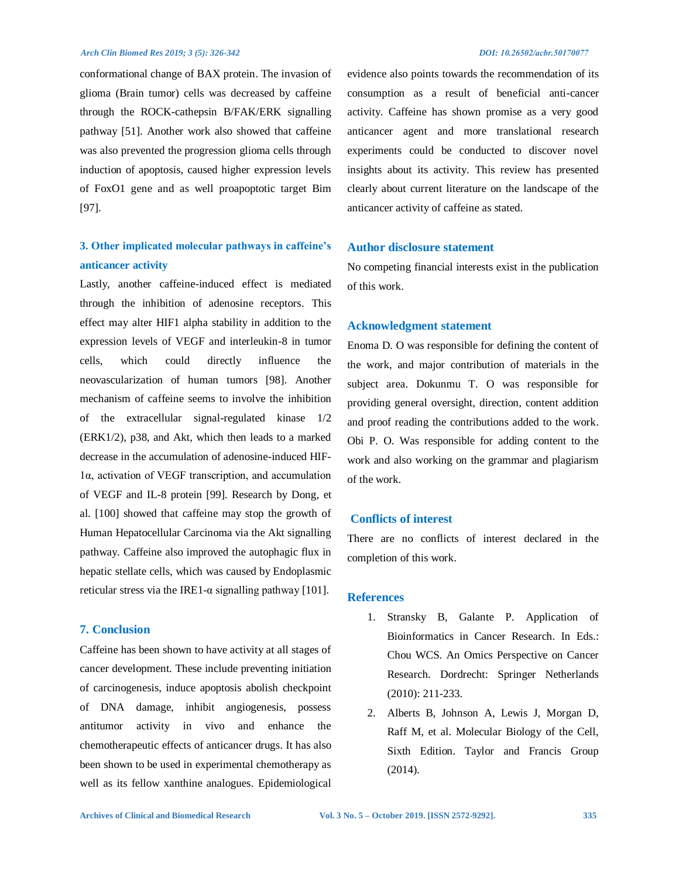conformational change of BAX protein. The invasion of glioma (Brain tumor) cells was decreased by caffeine through the ROCK-cathepsin B/FAK/ERK signalling pathway [51]. Another work also showed that caffeine was also prevented the progression glioma cells through induction of apoptosis, caused higher expression levels of FoxO1 gene and as well proapoptotic target Bim [97].

## **3. Other implicated molecular pathways in caffeine's anticancer activity**

Lastly, another caffeine-induced effect is mediated through the inhibition of adenosine receptors. This effect may alter HIF1 alpha stability in addition to the expression levels of VEGF and interleukin-8 in tumor cells, which could directly influence the neovascularization of human tumors [98]. Another mechanism of caffeine seems to involve the inhibition of the extracellular signal-regulated kinase 1/2 (ERK1/2), p38, and Akt, which then leads to a marked decrease in the accumulation of adenosine-induced HIF-1α, activation of VEGF transcription, and accumulation of VEGF and IL-8 protein [99]. Research by Dong, et al. [100] showed that caffeine may stop the growth of Human Hepatocellular Carcinoma via the Akt signalling pathway. Caffeine also improved the autophagic flux in hepatic stellate cells, which was caused by Endoplasmic reticular stress via the IRE1-α signalling pathway [101].

## **7. Conclusion**

Caffeine has been shown to have activity at all stages of cancer development. These include preventing initiation of carcinogenesis, induce apoptosis abolish checkpoint of DNA damage, inhibit angiogenesis, possess antitumor activity in vivo and enhance the chemotherapeutic effects of anticancer drugs. It has also been shown to be used in experimental chemotherapy as well as its fellow xanthine analogues. Epidemiological evidence also points towards the recommendation of its consumption as a result of beneficial anti-cancer activity. Caffeine has shown promise as a very good anticancer agent and more translational research experiments could be conducted to discover novel insights about its activity. This review has presented clearly about current literature on the landscape of the anticancer activity of caffeine as stated.

## **Author disclosure statement**

No competing financial interests exist in the publication of this work.

## **Acknowledgment statement**

Enoma D. O was responsible for defining the content of the work, and major contribution of materials in the subject area. Dokunmu T. O was responsible for providing general oversight, direction, content addition and proof reading the contributions added to the work. Obi P. O. Was responsible for adding content to the work and also working on the grammar and plagiarism of the work.

## **Conflicts of interest**

There are no conflicts of interest declared in the completion of this work.

### **References**

- 1. Stransky B, Galante P. Application of Bioinformatics in Cancer Research. In Eds.: Chou WCS. An Omics Perspective on Cancer Research. Dordrecht: Springer Netherlands (2010): 211-233.
- 2. Alberts B, Johnson A, Lewis J, Morgan D, Raff M, et al. Molecular Biology of the Cell, Sixth Edition. Taylor and Francis Group (2014).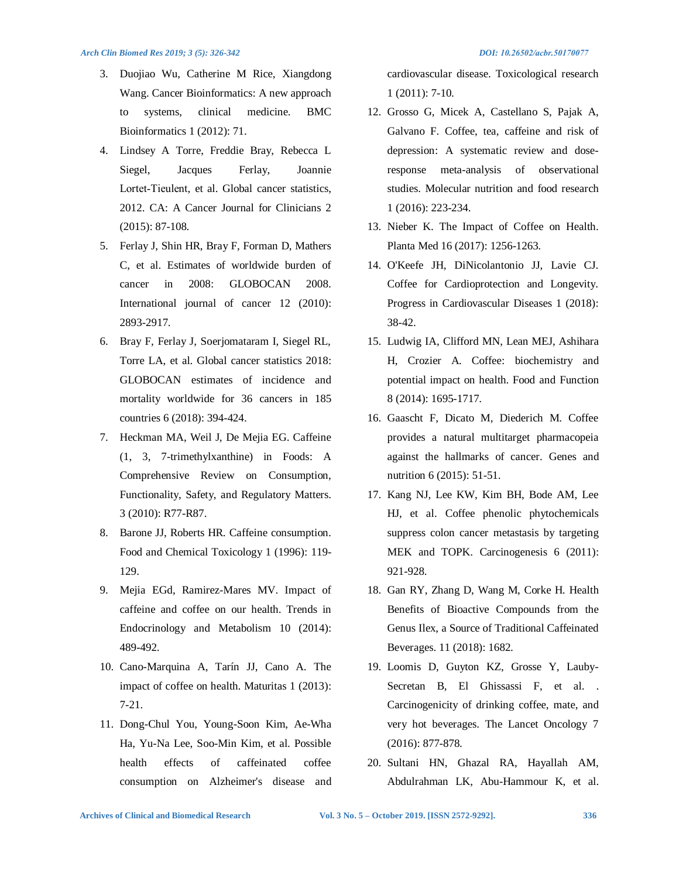- 3. Duojiao Wu, Catherine M Rice, Xiangdong Wang. Cancer Bioinformatics: A new approach to systems, clinical medicine. BMC Bioinformatics 1 (2012): 71.
- 4. Lindsey A Torre, Freddie Bray, Rebecca L Siegel, Jacques Ferlay, Joannie Lortet‐Tieulent, et al. Global cancer statistics, 2012. CA: A Cancer Journal for Clinicians 2 (2015): 87-108.
- 5. Ferlay J, Shin HR, Bray F, Forman D, Mathers C, et al. Estimates of worldwide burden of cancer in 2008: GLOBOCAN 2008. International journal of cancer 12 (2010): 2893-2917.
- 6. Bray F, Ferlay J, Soerjomataram I, Siegel RL, Torre LA, et al. Global cancer statistics 2018: GLOBOCAN estimates of incidence and mortality worldwide for 36 cancers in 185 countries 6 (2018): 394-424.
- 7. Heckman MA, Weil J, De Mejia EG. Caffeine (1, 3, 7-trimethylxanthine) in Foods: A Comprehensive Review on Consumption, Functionality, Safety, and Regulatory Matters. 3 (2010): R77-R87.
- 8. Barone JJ, Roberts HR. Caffeine consumption. Food and Chemical Toxicology 1 (1996): 119- 129.
- 9. Mejia EGd, Ramirez-Mares MV. Impact of caffeine and coffee on our health. Trends in Endocrinology and Metabolism 10 (2014): 489-492.
- 10. Cano-Marquina A, Tarín JJ, Cano A. The impact of coffee on health. Maturitas 1 (2013): 7-21.
- 11. Dong-Chul You, Young-Soon Kim, Ae-Wha Ha, Yu-Na Lee, Soo-Min Kim, et al. Possible health effects of caffeinated coffee consumption on Alzheimer's disease and

cardiovascular disease. Toxicological research 1 (2011): 7-10.

- 12. Grosso G, Micek A, Castellano S, Pajak A, Galvano F. Coffee, tea, caffeine and risk of depression: A systematic review and doseresponse meta-analysis of observational studies. Molecular nutrition and food research 1 (2016): 223-234.
- 13. Nieber K. The Impact of Coffee on Health. Planta Med 16 (2017): 1256-1263.
- 14. O'Keefe JH, DiNicolantonio JJ, Lavie CJ. Coffee for Cardioprotection and Longevity. Progress in Cardiovascular Diseases 1 (2018): 38-42.
- 15. Ludwig IA, Clifford MN, Lean MEJ, Ashihara H, Crozier A. Coffee: biochemistry and potential impact on health. Food and Function 8 (2014): 1695-1717.
- 16. Gaascht F, Dicato M, Diederich M. Coffee provides a natural multitarget pharmacopeia against the hallmarks of cancer. Genes and nutrition 6 (2015): 51-51.
- 17. Kang NJ, Lee KW, Kim BH, Bode AM, Lee HJ, et al. Coffee phenolic phytochemicals suppress colon cancer metastasis by targeting MEK and TOPK. Carcinogenesis 6 (2011): 921-928.
- 18. Gan RY, Zhang D, Wang M, Corke H. Health Benefits of Bioactive Compounds from the Genus Ilex, a Source of Traditional Caffeinated Beverages. 11 (2018): 1682.
- 19. Loomis D, Guyton KZ, Grosse Y, Lauby-Secretan B, El Ghissassi F, et al. . Carcinogenicity of drinking coffee, mate, and very hot beverages. The Lancet Oncology 7 (2016): 877-878.
- 20. Sultani HN, Ghazal RA, Hayallah AM, Abdulrahman LK, Abu-Hammour K, et al.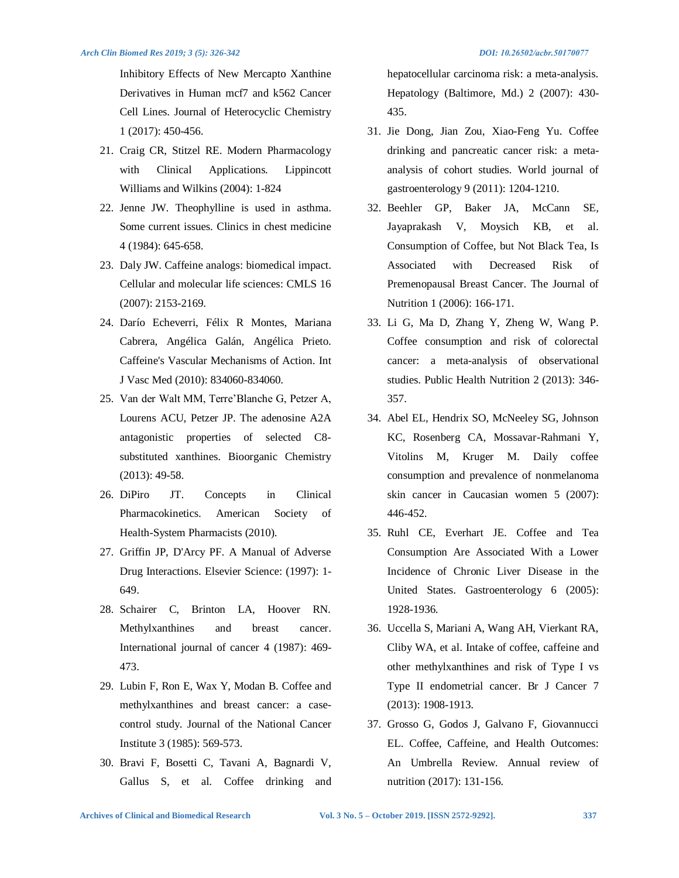Inhibitory Effects of New Mercapto Xanthine Derivatives in Human mcf7 and k562 Cancer Cell Lines. Journal of Heterocyclic Chemistry 1 (2017): 450-456.

- 21. Craig CR, Stitzel RE. Modern Pharmacology with Clinical Applications. Lippincott Williams and Wilkins (2004): 1-824
- 22. Jenne JW. Theophylline is used in asthma. Some current issues. Clinics in chest medicine 4 (1984): 645-658.
- 23. Daly JW. Caffeine analogs: biomedical impact. Cellular and molecular life sciences: CMLS 16 (2007): 2153-2169.
- 24. Darío Echeverri, Félix R Montes, Mariana Cabrera, Angélica Galán, Angélica Prieto. Caffeine's Vascular Mechanisms of Action. Int J Vasc Med (2010): 834060-834060.
- 25. Van der Walt MM, Terre'Blanche G, Petzer A, Lourens ACU, Petzer JP. The adenosine A2A antagonistic properties of selected C8 substituted xanthines. Bioorganic Chemistry (2013): 49-58.
- 26. DiPiro JT. Concepts in Clinical Pharmacokinetics. American Society of Health-System Pharmacists (2010).
- 27. Griffin JP, D'Arcy PF. A Manual of Adverse Drug Interactions. Elsevier Science: (1997): 1- 649.
- 28. Schairer C, Brinton LA, Hoover RN. Methylxanthines and breast cancer. International journal of cancer 4 (1987): 469- 473.
- 29. Lubin F, Ron E, Wax Y, Modan B. Coffee and methylxanthines and breast cancer: a casecontrol study. Journal of the National Cancer Institute 3 (1985): 569-573.
- 30. Bravi F, Bosetti C, Tavani A, Bagnardi V, Gallus S, et al. Coffee drinking and

hepatocellular carcinoma risk: a meta-analysis. Hepatology (Baltimore, Md.) 2 (2007): 430- 435.

- 31. Jie Dong, Jian Zou, Xiao-Feng Yu. Coffee drinking and pancreatic cancer risk: a metaanalysis of cohort studies. World journal of gastroenterology 9 (2011): 1204-1210.
- 32. Beehler GP, Baker JA, McCann SE, Jayaprakash V, Moysich KB, et al. Consumption of Coffee, but Not Black Tea, Is Associated with Decreased Risk of Premenopausal Breast Cancer. The Journal of Nutrition 1 (2006): 166-171.
- 33. Li G, Ma D, Zhang Y, Zheng W, Wang P. Coffee consumption and risk of colorectal cancer: a meta-analysis of observational studies. Public Health Nutrition 2 (2013): 346- 357.
- 34. Abel EL, Hendrix SO, McNeeley SG, Johnson KC, Rosenberg CA, Mossavar-Rahmani Y, Vitolins M, Kruger M. Daily coffee consumption and prevalence of nonmelanoma skin cancer in Caucasian women 5 (2007): 446-452.
- 35. Ruhl CE, Everhart JE. Coffee and Tea Consumption Are Associated With a Lower Incidence of Chronic Liver Disease in the United States. Gastroenterology 6 (2005): 1928-1936.
- 36. Uccella S, Mariani A, Wang AH, Vierkant RA, Cliby WA, et al. Intake of coffee, caffeine and other methylxanthines and risk of Type I vs Type II endometrial cancer. Br J Cancer 7 (2013): 1908-1913.
- 37. Grosso G, Godos J, Galvano F, Giovannucci EL. Coffee, Caffeine, and Health Outcomes: An Umbrella Review. Annual review of nutrition (2017): 131-156.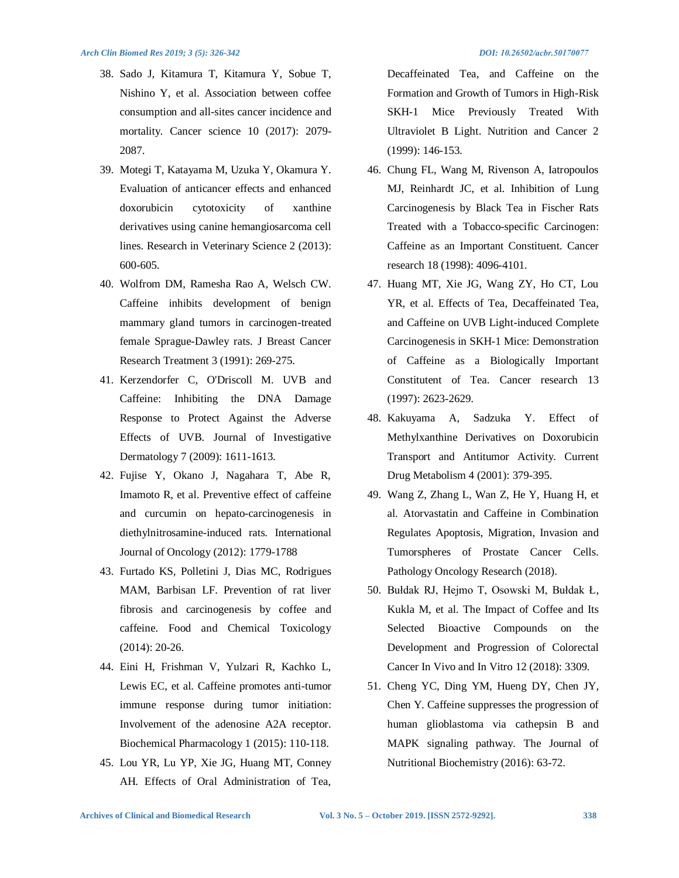- 38. Sado J, Kitamura T, Kitamura Y, Sobue T, Nishino Y, et al. Association between coffee consumption and all-sites cancer incidence and mortality. Cancer science 10 (2017): 2079-2087.
- 39. Motegi T, Katayama M, Uzuka Y, Okamura Y. Evaluation of anticancer effects and enhanced doxorubicin cytotoxicity of xanthine derivatives using canine hemangiosarcoma cell lines. Research in Veterinary Science 2 (2013): 600-605.
- 40. Wolfrom DM, Ramesha Rao A, Welsch CW. Caffeine inhibits development of benign mammary gland tumors in carcinogen-treated female Sprague-Dawley rats. J Breast Cancer Research Treatment 3 (1991): 269-275.
- 41. Kerzendorfer C, O'Driscoll M. UVB and Caffeine: Inhibiting the DNA Damage Response to Protect Against the Adverse Effects of UVB. Journal of Investigative Dermatology 7 (2009): 1611-1613.
- 42. Fujise Y, Okano J, Nagahara T, Abe R, Imamoto R, et al. Preventive effect of caffeine and curcumin on hepato-carcinogenesis in diethylnitrosamine-induced rats. International Journal of Oncology (2012): 1779-1788
- 43. Furtado KS, Polletini J, Dias MC, Rodrigues MAM, Barbisan LF. Prevention of rat liver fibrosis and carcinogenesis by coffee and caffeine. Food and Chemical Toxicology (2014): 20-26.
- 44. Eini H, Frishman V, Yulzari R, Kachko L, Lewis EC, et al. Caffeine promotes anti-tumor immune response during tumor initiation: Involvement of the adenosine A2A receptor. Biochemical Pharmacology 1 (2015): 110-118.
- 45. Lou YR, Lu YP, Xie JG, Huang MT, Conney AH. Effects of Oral Administration of Tea,

Decaffeinated Tea, and Caffeine on the Formation and Growth of Tumors in High-Risk SKH-1 Mice Previously Treated With Ultraviolet B Light. Nutrition and Cancer 2 (1999): 146-153.

- 46. Chung FL, Wang M, Rivenson A, Iatropoulos MJ, Reinhardt JC, et al. Inhibition of Lung Carcinogenesis by Black Tea in Fischer Rats Treated with a Tobacco-specific Carcinogen: Caffeine as an Important Constituent. Cancer research 18 (1998): 4096-4101.
- 47. Huang MT, Xie JG, Wang ZY, Ho CT, Lou YR, et al. Effects of Tea, Decaffeinated Tea, and Caffeine on UVB Light-induced Complete Carcinogenesis in SKH-1 Mice: Demonstration of Caffeine as a Biologically Important Constitutent of Tea. Cancer research 13 (1997): 2623-2629.
- 48. Kakuyama A, Sadzuka Y. Effect of Methylxanthine Derivatives on Doxorubicin Transport and Antitumor Activity. Current Drug Metabolism 4 (2001): 379-395.
- 49. Wang Z, Zhang L, Wan Z, He Y, Huang H, et al. Atorvastatin and Caffeine in Combination Regulates Apoptosis, Migration, Invasion and Tumorspheres of Prostate Cancer Cells. Pathology Oncology Research (2018).
- 50. Bułdak RJ, Hejmo T, Osowski M, Bułdak Ł, Kukla M, et al. The Impact of Coffee and Its Selected Bioactive Compounds on the Development and Progression of Colorectal Cancer In Vivo and In Vitro 12 (2018): 3309.
- 51. Cheng YC, Ding YM, Hueng DY, Chen JY, Chen Y. Caffeine suppresses the progression of human glioblastoma via cathepsin B and MAPK signaling pathway. The Journal of Nutritional Biochemistry (2016): 63-72.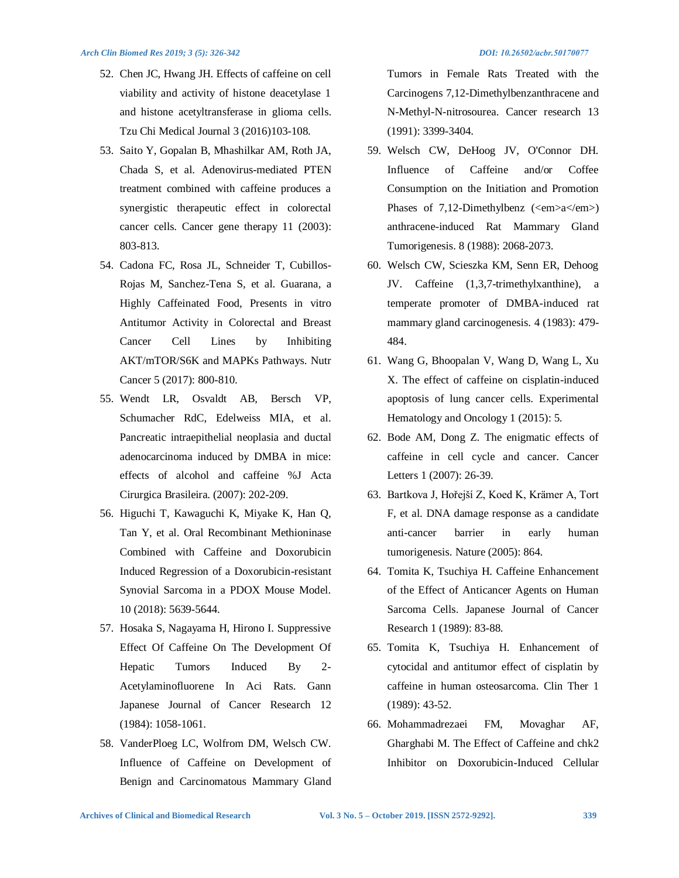- 52. Chen JC, Hwang JH. Effects of caffeine on cell viability and activity of histone deacetylase 1 and histone acetyltransferase in glioma cells. Tzu Chi Medical Journal 3 (2016)103-108.
- 53. Saito Y, Gopalan B, Mhashilkar AM, Roth JA, Chada S, et al. Adenovirus-mediated PTEN treatment combined with caffeine produces a synergistic therapeutic effect in colorectal cancer cells. Cancer gene therapy 11 (2003): 803-813.
- 54. Cadona FC, Rosa JL, Schneider T, Cubillos-Rojas M, Sanchez-Tena S, et al. Guarana, a Highly Caffeinated Food, Presents in vitro Antitumor Activity in Colorectal and Breast Cancer Cell Lines by Inhibiting AKT/mTOR/S6K and MAPKs Pathways. Nutr Cancer 5 (2017): 800-810.
- 55. Wendt LR, Osvaldt AB, Bersch VP, Schumacher RdC, Edelweiss MIA, et al. Pancreatic intraepithelial neoplasia and ductal adenocarcinoma induced by DMBA in mice: effects of alcohol and caffeine %J Acta Cirurgica Brasileira. (2007): 202-209.
- 56. Higuchi T, Kawaguchi K, Miyake K, Han Q, Tan Y, et al. Oral Recombinant Methioninase Combined with Caffeine and Doxorubicin Induced Regression of a Doxorubicin-resistant Synovial Sarcoma in a PDOX Mouse Model. 10 (2018): 5639-5644.
- 57. Hosaka S, Nagayama H, Hirono I. Suppressive Effect Of Caffeine On The Development Of Hepatic Tumors Induced By 2- Acetylaminofluorene In Aci Rats. Gann Japanese Journal of Cancer Research 12 (1984): 1058-1061.
- 58. VanderPloeg LC, Wolfrom DM, Welsch CW. Influence of Caffeine on Development of Benign and Carcinomatous Mammary Gland

Tumors in Female Rats Treated with the Carcinogens 7,12-Dimethylbenzanthracene and N-Methyl-N-nitrosourea. Cancer research 13 (1991): 3399-3404.

- 59. Welsch CW, DeHoog JV, O'Connor DH. Influence of Caffeine and/or Coffee Consumption on the Initiation and Promotion Phases of 7,12-Dimethylbenz (<em>a</em>) anthracene-induced Rat Mammary Gland Tumorigenesis. 8 (1988): 2068-2073.
- 60. Welsch CW, Scieszka KM, Senn ER, Dehoog JV. Caffeine (1,3,7-trimethylxanthine), a temperate promoter of DMBA-induced rat mammary gland carcinogenesis. 4 (1983): 479- 484.
- 61. Wang G, Bhoopalan V, Wang D, Wang L, Xu X. The effect of caffeine on cisplatin-induced apoptosis of lung cancer cells. Experimental Hematology and Oncology 1 (2015): 5.
- 62. Bode AM, Dong Z. The enigmatic effects of caffeine in cell cycle and cancer. Cancer Letters 1 (2007): 26-39.
- 63. Bartkova J, Hořejší Z, Koed K, Krämer A, Tort F, et al. DNA damage response as a candidate anti-cancer barrier in early human tumorigenesis. Nature (2005): 864.
- 64. Tomita K, Tsuchiya H. Caffeine Enhancement of the Effect of Anticancer Agents on Human Sarcoma Cells. Japanese Journal of Cancer Research 1 (1989): 83-88.
- 65. Tomita K, Tsuchiya H. Enhancement of cytocidal and antitumor effect of cisplatin by caffeine in human osteosarcoma. Clin Ther 1 (1989): 43-52.
- 66. Mohammadrezaei FM, Movaghar AF, Gharghabi M. The Effect of Caffeine and chk2 Inhibitor on Doxorubicin-Induced Cellular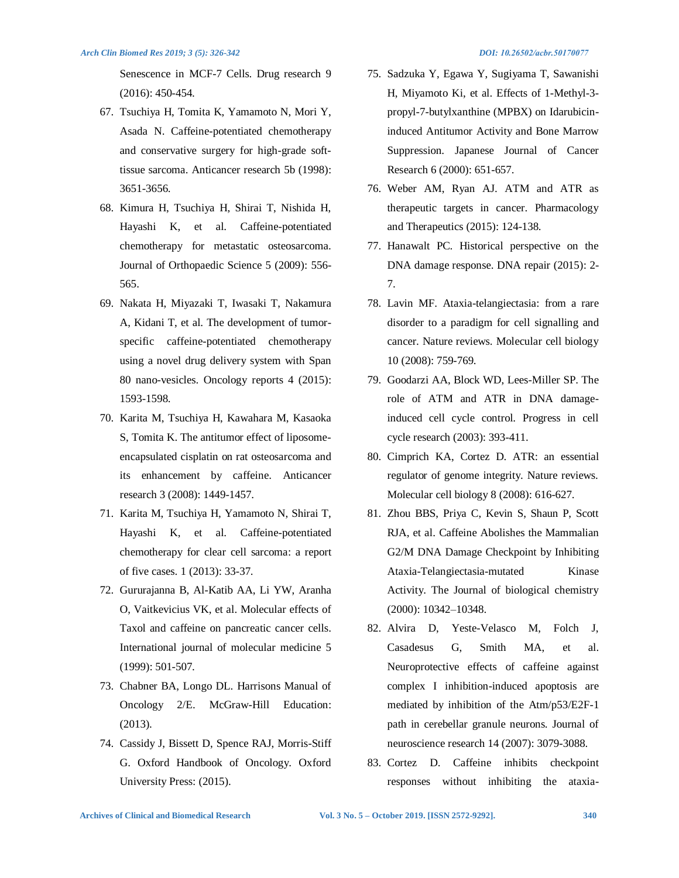Senescence in MCF-7 Cells. Drug research 9 (2016): 450-454.

- 67. Tsuchiya H, Tomita K, Yamamoto N, Mori Y, Asada N. Caffeine-potentiated chemotherapy and conservative surgery for high-grade softtissue sarcoma. Anticancer research 5b (1998): 3651-3656.
- 68. Kimura H, Tsuchiya H, Shirai T, Nishida H, Hayashi K, et al. Caffeine-potentiated chemotherapy for metastatic osteosarcoma. Journal of Orthopaedic Science 5 (2009): 556- 565.
- 69. Nakata H, Miyazaki T, Iwasaki T, Nakamura A, Kidani T, et al. The development of tumorspecific caffeine-potentiated chemotherapy using a novel drug delivery system with Span 80 nano-vesicles. Oncology reports 4 (2015): 1593-1598.
- 70. Karita M, Tsuchiya H, Kawahara M, Kasaoka S, Tomita K. The antitumor effect of liposomeencapsulated cisplatin on rat osteosarcoma and its enhancement by caffeine. Anticancer research 3 (2008): 1449-1457.
- 71. Karita M, Tsuchiya H, Yamamoto N, Shirai T, Hayashi K, et al. Caffeine-potentiated chemotherapy for clear cell sarcoma: a report of five cases. 1 (2013): 33-37.
- 72. Gururajanna B, Al-Katib AA, Li YW, Aranha O, Vaitkevicius VK, et al. Molecular effects of Taxol and caffeine on pancreatic cancer cells. International journal of molecular medicine 5 (1999): 501-507.
- 73. Chabner BA, Longo DL. Harrisons Manual of Oncology 2/E. McGraw-Hill Education: (2013).
- 74. Cassidy J, Bissett D, Spence RAJ, Morris-Stiff G. Oxford Handbook of Oncology. Oxford University Press: (2015).

- 75. Sadzuka Y, Egawa Y, Sugiyama T, Sawanishi H, Miyamoto Ki, et al. Effects of 1-Methyl-3 propyl-7-butylxanthine (MPBX) on Idarubicininduced Antitumor Activity and Bone Marrow Suppression. Japanese Journal of Cancer Research 6 (2000): 651-657.
- 76. Weber AM, Ryan AJ. ATM and ATR as therapeutic targets in cancer. Pharmacology and Therapeutics (2015): 124-138.
- 77. Hanawalt PC. Historical perspective on the DNA damage response. DNA repair (2015): 2- 7.
- 78. Lavin MF. Ataxia-telangiectasia: from a rare disorder to a paradigm for cell signalling and cancer. Nature reviews. Molecular cell biology 10 (2008): 759-769.
- 79. Goodarzi AA, Block WD, Lees-Miller SP. The role of ATM and ATR in DNA damageinduced cell cycle control. Progress in cell cycle research (2003): 393-411.
- 80. Cimprich KA, Cortez D. ATR: an essential regulator of genome integrity. Nature reviews. Molecular cell biology 8 (2008): 616-627.
- 81. Zhou BBS, Priya C, Kevin S, Shaun P, Scott RJA, et al. Caffeine Abolishes the Mammalian G2/M DNA Damage Checkpoint by Inhibiting Ataxia-Telangiectasia-mutated Kinase Activity. The Journal of biological chemistry (2000): 10342–10348.
- 82. Alvira D, Yeste-Velasco M, Folch J, Casadesus G, Smith MA, et al. Neuroprotective effects of caffeine against complex I inhibition-induced apoptosis are mediated by inhibition of the Atm/p53/E2F-1 path in cerebellar granule neurons. Journal of neuroscience research 14 (2007): 3079-3088.
- 83. Cortez D. Caffeine inhibits checkpoint responses without inhibiting the ataxia-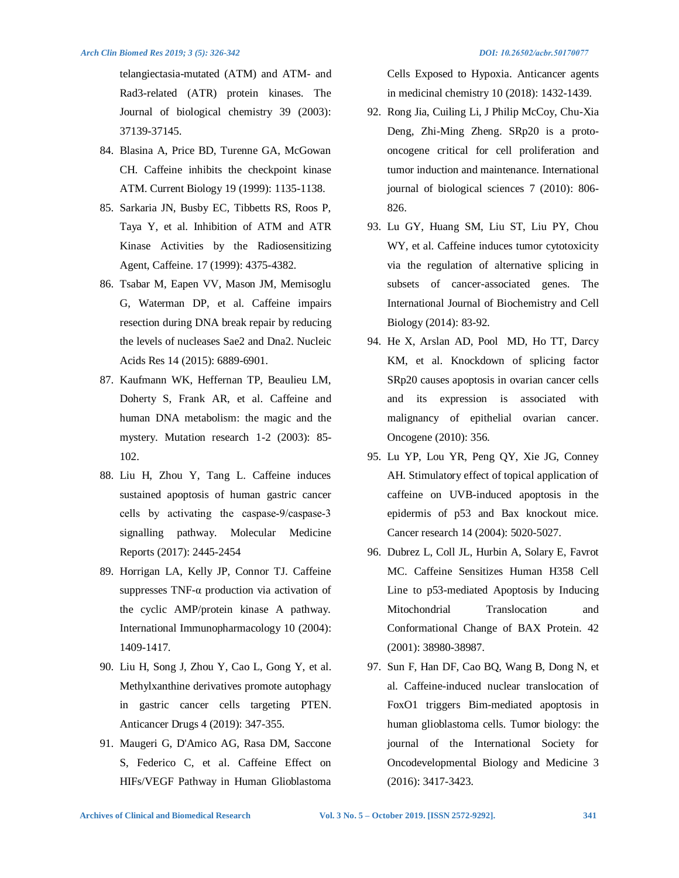telangiectasia-mutated (ATM) and ATM- and Rad3-related (ATR) protein kinases. The Journal of biological chemistry 39 (2003): 37139-37145.

- 84. Blasina A, Price BD, Turenne GA, McGowan CH. Caffeine inhibits the checkpoint kinase ATM. Current Biology 19 (1999): 1135-1138.
- 85. Sarkaria JN, Busby EC, Tibbetts RS, Roos P, Taya Y, et al. Inhibition of ATM and ATR Kinase Activities by the Radiosensitizing Agent, Caffeine. 17 (1999): 4375-4382.
- 86. Tsabar M, Eapen VV, Mason JM, Memisoglu G, Waterman DP, et al. Caffeine impairs resection during DNA break repair by reducing the levels of nucleases Sae2 and Dna2. Nucleic Acids Res 14 (2015): 6889-6901.
- 87. Kaufmann WK, Heffernan TP, Beaulieu LM, Doherty S, Frank AR, et al. Caffeine and human DNA metabolism: the magic and the mystery. Mutation research 1-2 (2003): 85- 102.
- 88. Liu H, Zhou Y, Tang L. Caffeine induces sustained apoptosis of human gastric cancer cells by activating the caspase‑9/caspase‑3 signalling pathway. Molecular Medicine Reports (2017): 2445-2454
- 89. Horrigan LA, Kelly JP, Connor TJ. Caffeine suppresses TNF-α production via activation of the cyclic AMP/protein kinase A pathway. International Immunopharmacology 10 (2004): 1409-1417.
- 90. Liu H, Song J, Zhou Y, Cao L, Gong Y, et al. Methylxanthine derivatives promote autophagy in gastric cancer cells targeting PTEN. Anticancer Drugs 4 (2019): 347-355.
- 91. Maugeri G, D'Amico AG, Rasa DM, Saccone S, Federico C, et al. Caffeine Effect on HIFs/VEGF Pathway in Human Glioblastoma

Cells Exposed to Hypoxia. Anticancer agents in medicinal chemistry 10 (2018): 1432-1439.

- 92. Rong Jia, Cuiling Li, J Philip McCoy, Chu-Xia Deng, Zhi-Ming Zheng. SRp20 is a protooncogene critical for cell proliferation and tumor induction and maintenance. International journal of biological sciences 7 (2010): 806- 826.
- 93. Lu GY, Huang SM, Liu ST, Liu PY, Chou WY, et al. Caffeine induces tumor cytotoxicity via the regulation of alternative splicing in subsets of cancer-associated genes. The International Journal of Biochemistry and Cell Biology (2014): 83-92.
- 94. He X, Arslan AD, Pool MD, Ho TT, Darcy KM, et al. Knockdown of splicing factor SRp20 causes apoptosis in ovarian cancer cells and its expression is associated with malignancy of epithelial ovarian cancer. Oncogene (2010): 356.
- 95. Lu YP, Lou YR, Peng QY, Xie JG, Conney AH. Stimulatory effect of topical application of caffeine on UVB-induced apoptosis in the epidermis of p53 and Bax knockout mice. Cancer research 14 (2004): 5020-5027.
- 96. Dubrez L, Coll JL, Hurbin A, Solary E, Favrot MC. Caffeine Sensitizes Human H358 Cell Line to p53-mediated Apoptosis by Inducing Mitochondrial Translocation and Conformational Change of BAX Protein. 42 (2001): 38980-38987.
- 97. Sun F, Han DF, Cao BQ, Wang B, Dong N, et al. Caffeine-induced nuclear translocation of FoxO1 triggers Bim-mediated apoptosis in human glioblastoma cells. Tumor biology: the journal of the International Society for Oncodevelopmental Biology and Medicine 3 (2016): 3417-3423.